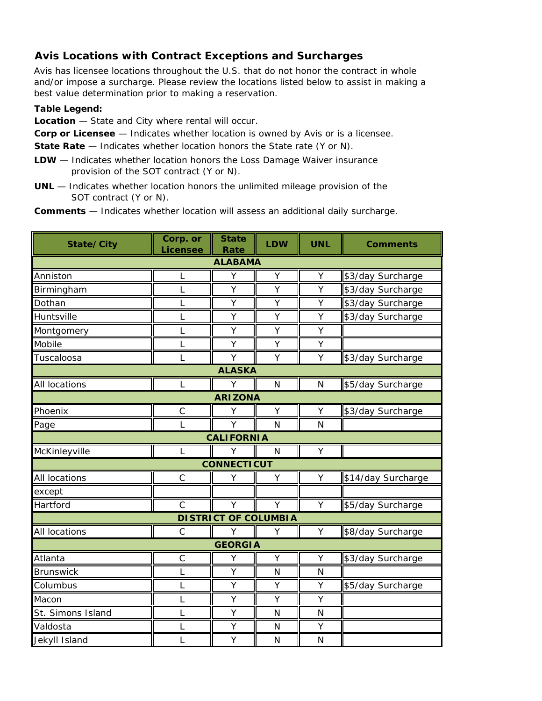## **Avis Locations with Contract Exceptions and Surcharges**

Avis has licensee locations throughout the U.S. that do not honor the contract in whole and/or impose a surcharge. Please review the locations listed below to assist in making a best value determination prior to making a reservation.

## **Table Legend:**

**Location** — State and City where rental will occur.

**Corp or Licensee** — Indicates whether location is owned by Avis or is a licensee.

**State Rate** — Indicates whether location honors the State rate (Y or N).

- **LDW** Indicates whether location honors the Loss Damage Waiver insurance provision of the SOT contract (Y or N).
- **UNL** Indicates whether location honors the unlimited mileage provision of the SOT contract (Y or N).

**Comments** — Indicates whether location will assess an additional daily surcharge.

| State/City                  | Corp. or<br><b>Licensee</b> | <b>State</b><br>Rate | LDW          | <b>UNL</b>   | <b>Comments</b>    |  |  |  |
|-----------------------------|-----------------------------|----------------------|--------------|--------------|--------------------|--|--|--|
|                             |                             | <b>ALABAMA</b>       |              |              |                    |  |  |  |
| Anniston                    | L                           | Υ                    | Υ            | Υ            | \$3/day Surcharge  |  |  |  |
| Birmingham                  | L                           | Υ                    | Y            | Y            | \$3/day Surcharge  |  |  |  |
| Dothan                      | L                           | Y                    | Y            | Υ            | \$3/day Surcharge  |  |  |  |
| Huntsville                  | L                           | Υ                    | Υ            | Υ            | \$3/day Surcharge  |  |  |  |
| Montgomery                  | L                           | Y                    | Y            | Y            |                    |  |  |  |
| Mobile                      | L                           | Y                    | Y            | Y            |                    |  |  |  |
| Tuscaloosa                  | L                           | Y                    | Y            | Y            | \$3/day Surcharge  |  |  |  |
|                             | <b>ALASKA</b>               |                      |              |              |                    |  |  |  |
| All locations               | L                           | Y                    | $\mathsf{N}$ | $\mathsf{N}$ | \$5/day Surcharge  |  |  |  |
| <b>ARIZONA</b>              |                             |                      |              |              |                    |  |  |  |
| Phoenix                     | $\mathsf C$                 | Υ                    | Υ            | Υ            | \$3/day Surcharge  |  |  |  |
| Page                        | L                           | Y                    | N            | N            |                    |  |  |  |
| <b>CALIFORNIA</b>           |                             |                      |              |              |                    |  |  |  |
| McKinleyville               | L                           | Y                    | N            | Υ            |                    |  |  |  |
| <b>CONNECTICUT</b>          |                             |                      |              |              |                    |  |  |  |
| All locations               | $\mathsf{C}$                | Y                    | Y            | Υ            | \$14/day Surcharge |  |  |  |
| except                      |                             |                      |              |              |                    |  |  |  |
| Hartford                    | $\mathsf{C}$                | Y                    | Y            | Y            | \$5/day Surcharge  |  |  |  |
| <b>DISTRICT OF COLUMBIA</b> |                             |                      |              |              |                    |  |  |  |
| All locations               | $\mathsf{C}$                | Υ                    | Y            | Y            | \$8/day Surcharge  |  |  |  |
| <b>GEORGIA</b>              |                             |                      |              |              |                    |  |  |  |
| Atlanta                     | $\mathsf{C}$                | Υ                    | Υ            | Υ            | \$3/day Surcharge  |  |  |  |
| <b>Brunswick</b>            | L                           | Y                    | N            | $\mathsf{N}$ |                    |  |  |  |
| Columbus                    | L                           | Υ                    | Y            | Υ            | \$5/day Surcharge  |  |  |  |
| Macon                       | L                           | Υ                    | Υ            | Y            |                    |  |  |  |
| St. Simons Island           | L                           | Y                    | N            | N            |                    |  |  |  |
| Valdosta                    | L                           | Υ                    | N            | Υ            |                    |  |  |  |
| Jekyll Island               | L                           | Υ                    | $\mathsf{N}$ | $\mathsf{N}$ |                    |  |  |  |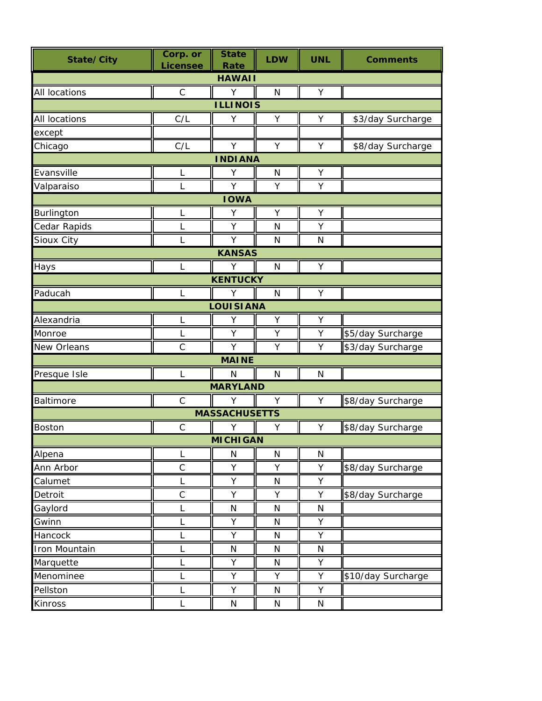| State/City      | Corp. or<br><b>Licensee</b> | <b>State</b><br><b>Rate</b> | <b>LDW</b>   | <b>UNL</b>   | <b>Comments</b>    |  |  |  |
|-----------------|-----------------------------|-----------------------------|--------------|--------------|--------------------|--|--|--|
| <b>HAWAII</b>   |                             |                             |              |              |                    |  |  |  |
| All locations   | $\mathsf{C}$                | Y                           | N            | Υ            |                    |  |  |  |
| <b>ILLINOIS</b> |                             |                             |              |              |                    |  |  |  |
| All locations   | C/L                         | Υ                           | Υ            | Υ            | \$3/day Surcharge  |  |  |  |
| except          |                             |                             |              |              |                    |  |  |  |
| Chicago         | C/L                         | Y                           | Y            | Y            | \$8/day Surcharge  |  |  |  |
| <b>INDIANA</b>  |                             |                             |              |              |                    |  |  |  |
| Evansville      | L                           | Υ                           | N            | Υ            |                    |  |  |  |
| Valparaiso      | L                           | Y                           | Υ            | Υ            |                    |  |  |  |
|                 |                             | <b>IOWA</b>                 |              |              |                    |  |  |  |
| Burlington      | L                           | Υ                           | Υ            | Υ            |                    |  |  |  |
| Cedar Rapids    | L                           | Υ                           | $\mathsf{N}$ | Υ            |                    |  |  |  |
| Sioux City      | L                           | Y                           | N            | N            |                    |  |  |  |
|                 |                             | <b>KANSAS</b>               |              |              |                    |  |  |  |
| Hays            | L                           | Y                           | $\mathsf{N}$ | Υ            |                    |  |  |  |
|                 |                             | <b>KENTUCKY</b>             |              |              |                    |  |  |  |
| Paducah         | L                           | Y                           | N            | Υ            |                    |  |  |  |
|                 |                             | <b>LOUISIANA</b>            |              |              |                    |  |  |  |
| Alexandria      | L                           | Υ                           | Υ            | Υ            |                    |  |  |  |
| Monroe          | L                           | Υ                           | Υ            | Υ            | \$5/day Surcharge  |  |  |  |
| New Orleans     | $\mathsf{C}$                | Y                           | Y            | Y            | \$3/day Surcharge  |  |  |  |
|                 |                             | <b>MAINE</b>                |              |              |                    |  |  |  |
| Presque Isle    | L                           | N                           | $\mathsf{N}$ | $\mathsf{N}$ |                    |  |  |  |
|                 |                             | <b>MARYLAND</b>             |              |              |                    |  |  |  |
| Baltimore       | $\mathsf C$                 | Y                           | Y            | Υ            | \$8/day Surcharge  |  |  |  |
|                 |                             | <b>MASSACHUSETTS</b>        |              |              |                    |  |  |  |
| Boston          | $\mathsf C$                 | Υ                           | Υ            | Υ            | \$8/day Surcharge  |  |  |  |
|                 |                             | <b>MICHIGAN</b>             |              |              |                    |  |  |  |
| Alpena          | L                           | N                           | ${\sf N}$    | ${\sf N}$    |                    |  |  |  |
| Ann Arbor       | $\mathsf C$                 | Υ                           | Υ            | Υ            | \$8/day Surcharge  |  |  |  |
| Calumet         | L                           | Υ                           | $\mathsf{N}$ | Υ            |                    |  |  |  |
| Detroit         | $\mathsf C$                 | Υ                           | Y            | Υ            | \$8/day Surcharge  |  |  |  |
| Gaylord         | L                           | N                           | N            | N            |                    |  |  |  |
| Gwinn           | L                           | Υ                           | N            | Υ            |                    |  |  |  |
| Hancock         | L                           | Υ                           | N            | Υ            |                    |  |  |  |
| Iron Mountain   | L                           | N                           | N            | ${\sf N}$    |                    |  |  |  |
| Marquette       | L                           | Υ                           | N            | Υ            |                    |  |  |  |
| Menominee       | L                           | Υ                           | Υ            | Υ            | \$10/day Surcharge |  |  |  |
| Pellston        | L                           | Υ                           | N            | Υ            |                    |  |  |  |
| Kinross         | L                           | N                           | N            | N            |                    |  |  |  |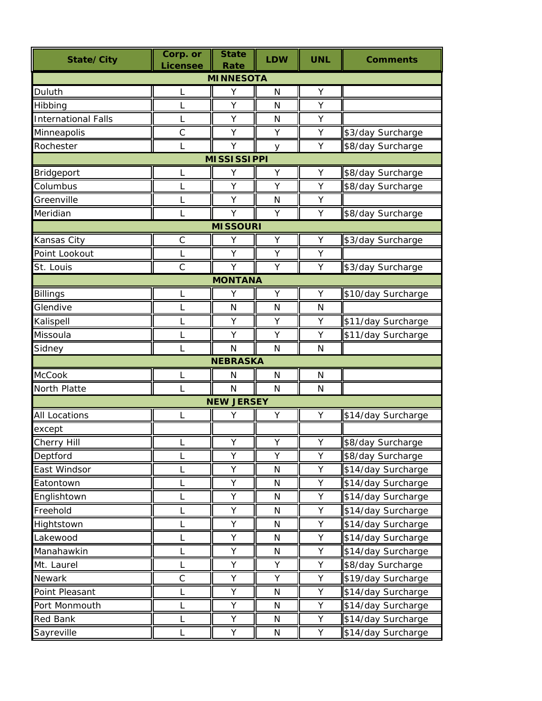| <b>MINNESOTA</b><br>Υ<br>Duluth<br>N<br>Υ<br>L<br>Y<br>Υ<br>L<br>N<br>Hibbing<br><b>International Falls</b><br>Υ<br>N<br>Υ<br>L<br>$\mathsf{C}$<br>Minneapolis<br>Υ<br>\$3/day Surcharge<br>Υ<br>Υ<br>Rochester<br>Y<br>Υ<br>\$8/day Surcharge<br>y<br><b>MISSISSIPPI</b><br>Y<br>\$8/day Surcharge<br>Bridgeport<br>Y<br>Υ<br>L<br>Υ<br>Columbus<br>L<br>Y<br>Υ<br>\$8/day Surcharge<br>Greenville<br>Υ<br>Υ<br>$\mathsf{N}$<br>\$8/day Surcharge<br>Meridian<br>Y<br>Y<br>Υ<br>L<br><b>MISSOURI</b><br>$\mathsf C$<br>Υ<br>Kansas City<br>Υ<br>\$3/day Surcharge<br>Υ<br>Point Lookout<br>Y<br>Υ<br>Υ<br>L<br>$\mathsf{C}$<br>Y<br>Υ<br>\$3/day Surcharge<br>St. Louis<br>Υ<br><b>MONTANA</b><br>\$10/day Surcharge<br><b>Billings</b><br>L<br>Υ<br>Y<br>Υ<br>Glendive<br>L<br>N<br>N<br>$\mathsf{N}$<br>\$11/day Surcharge<br>Kalispell<br>Y<br>Υ<br>Υ<br>L<br>Missoula<br>\$11/day Surcharge<br>Y<br>Y<br>L<br>Υ<br>$\mathsf{N}$<br>Sidney<br>$\mathsf{N}$<br>N<br><b>NEBRASKA</b><br>McCook<br>N<br>N<br>N<br>North Platte<br>N<br>N<br>N<br><b>NEW JERSEY</b><br>Υ<br><b>All Locations</b><br>Υ<br>\$14/day Surcharge<br>L<br>Υ<br>except<br>Cherry Hill<br>Y<br>Y<br>Y<br>\$8/day Surcharge<br>Υ<br>Υ<br>Υ<br>Deptford<br>\$8/day Surcharge<br>L<br>Υ<br>Υ<br>East Windsor<br>${\sf N}$<br>\$14/day Surcharge<br>L<br>Υ<br>Υ<br>\$14/day Surcharge<br>Eatontown<br>${\sf N}$<br>L<br>Υ<br>Υ<br>\$14/day Surcharge<br>Englishtown<br>N<br>L<br>\$14/day Surcharge<br>Freehold<br>Υ<br>Υ<br>N<br>Υ<br>Υ<br>\$14/day Surcharge<br>Hightstown<br>N<br>Lakewood<br>Υ<br>Υ<br>\$14/day Surcharge<br>N<br>L<br>Manahawkin<br>Υ<br>\$14/day Surcharge<br>Υ<br>L<br>N<br>Mt. Laurel<br>Υ<br>Υ<br>\$8/day Surcharge<br>L<br>Y<br>$\mathsf C$<br>Υ<br>\$19/day Surcharge<br>Newark<br>Υ<br>Υ<br>\$14/day Surcharge<br>Υ<br>Point Pleasant<br>Υ<br>L<br>N<br>Υ<br>\$14/day Surcharge<br>Port Monmouth<br>Υ<br>L<br>N<br>Red Bank<br>Υ<br>\$14/day Surcharge<br>Υ<br>L<br>N | State/City | Corp. or<br><b>Licensee</b> | <b>State</b><br>Rate | <b>LDW</b> | <b>UNL</b> | <b>Comments</b>    |  |  |  |
|-----------------------------------------------------------------------------------------------------------------------------------------------------------------------------------------------------------------------------------------------------------------------------------------------------------------------------------------------------------------------------------------------------------------------------------------------------------------------------------------------------------------------------------------------------------------------------------------------------------------------------------------------------------------------------------------------------------------------------------------------------------------------------------------------------------------------------------------------------------------------------------------------------------------------------------------------------------------------------------------------------------------------------------------------------------------------------------------------------------------------------------------------------------------------------------------------------------------------------------------------------------------------------------------------------------------------------------------------------------------------------------------------------------------------------------------------------------------------------------------------------------------------------------------------------------------------------------------------------------------------------------------------------------------------------------------------------------------------------------------------------------------------------------------------------------------------------------------------------------------------------------------------------------------------------------------------------------------------|------------|-----------------------------|----------------------|------------|------------|--------------------|--|--|--|
|                                                                                                                                                                                                                                                                                                                                                                                                                                                                                                                                                                                                                                                                                                                                                                                                                                                                                                                                                                                                                                                                                                                                                                                                                                                                                                                                                                                                                                                                                                                                                                                                                                                                                                                                                                                                                                                                                                                                                                       |            |                             |                      |            |            |                    |  |  |  |
|                                                                                                                                                                                                                                                                                                                                                                                                                                                                                                                                                                                                                                                                                                                                                                                                                                                                                                                                                                                                                                                                                                                                                                                                                                                                                                                                                                                                                                                                                                                                                                                                                                                                                                                                                                                                                                                                                                                                                                       |            |                             |                      |            |            |                    |  |  |  |
|                                                                                                                                                                                                                                                                                                                                                                                                                                                                                                                                                                                                                                                                                                                                                                                                                                                                                                                                                                                                                                                                                                                                                                                                                                                                                                                                                                                                                                                                                                                                                                                                                                                                                                                                                                                                                                                                                                                                                                       |            |                             |                      |            |            |                    |  |  |  |
|                                                                                                                                                                                                                                                                                                                                                                                                                                                                                                                                                                                                                                                                                                                                                                                                                                                                                                                                                                                                                                                                                                                                                                                                                                                                                                                                                                                                                                                                                                                                                                                                                                                                                                                                                                                                                                                                                                                                                                       |            |                             |                      |            |            |                    |  |  |  |
|                                                                                                                                                                                                                                                                                                                                                                                                                                                                                                                                                                                                                                                                                                                                                                                                                                                                                                                                                                                                                                                                                                                                                                                                                                                                                                                                                                                                                                                                                                                                                                                                                                                                                                                                                                                                                                                                                                                                                                       |            |                             |                      |            |            |                    |  |  |  |
|                                                                                                                                                                                                                                                                                                                                                                                                                                                                                                                                                                                                                                                                                                                                                                                                                                                                                                                                                                                                                                                                                                                                                                                                                                                                                                                                                                                                                                                                                                                                                                                                                                                                                                                                                                                                                                                                                                                                                                       |            |                             |                      |            |            |                    |  |  |  |
|                                                                                                                                                                                                                                                                                                                                                                                                                                                                                                                                                                                                                                                                                                                                                                                                                                                                                                                                                                                                                                                                                                                                                                                                                                                                                                                                                                                                                                                                                                                                                                                                                                                                                                                                                                                                                                                                                                                                                                       |            |                             |                      |            |            |                    |  |  |  |
|                                                                                                                                                                                                                                                                                                                                                                                                                                                                                                                                                                                                                                                                                                                                                                                                                                                                                                                                                                                                                                                                                                                                                                                                                                                                                                                                                                                                                                                                                                                                                                                                                                                                                                                                                                                                                                                                                                                                                                       |            |                             |                      |            |            |                    |  |  |  |
|                                                                                                                                                                                                                                                                                                                                                                                                                                                                                                                                                                                                                                                                                                                                                                                                                                                                                                                                                                                                                                                                                                                                                                                                                                                                                                                                                                                                                                                                                                                                                                                                                                                                                                                                                                                                                                                                                                                                                                       |            |                             |                      |            |            |                    |  |  |  |
|                                                                                                                                                                                                                                                                                                                                                                                                                                                                                                                                                                                                                                                                                                                                                                                                                                                                                                                                                                                                                                                                                                                                                                                                                                                                                                                                                                                                                                                                                                                                                                                                                                                                                                                                                                                                                                                                                                                                                                       |            |                             |                      |            |            |                    |  |  |  |
|                                                                                                                                                                                                                                                                                                                                                                                                                                                                                                                                                                                                                                                                                                                                                                                                                                                                                                                                                                                                                                                                                                                                                                                                                                                                                                                                                                                                                                                                                                                                                                                                                                                                                                                                                                                                                                                                                                                                                                       |            |                             |                      |            |            |                    |  |  |  |
|                                                                                                                                                                                                                                                                                                                                                                                                                                                                                                                                                                                                                                                                                                                                                                                                                                                                                                                                                                                                                                                                                                                                                                                                                                                                                                                                                                                                                                                                                                                                                                                                                                                                                                                                                                                                                                                                                                                                                                       |            |                             |                      |            |            |                    |  |  |  |
|                                                                                                                                                                                                                                                                                                                                                                                                                                                                                                                                                                                                                                                                                                                                                                                                                                                                                                                                                                                                                                                                                                                                                                                                                                                                                                                                                                                                                                                                                                                                                                                                                                                                                                                                                                                                                                                                                                                                                                       |            |                             |                      |            |            |                    |  |  |  |
|                                                                                                                                                                                                                                                                                                                                                                                                                                                                                                                                                                                                                                                                                                                                                                                                                                                                                                                                                                                                                                                                                                                                                                                                                                                                                                                                                                                                                                                                                                                                                                                                                                                                                                                                                                                                                                                                                                                                                                       |            |                             |                      |            |            |                    |  |  |  |
|                                                                                                                                                                                                                                                                                                                                                                                                                                                                                                                                                                                                                                                                                                                                                                                                                                                                                                                                                                                                                                                                                                                                                                                                                                                                                                                                                                                                                                                                                                                                                                                                                                                                                                                                                                                                                                                                                                                                                                       |            |                             |                      |            |            |                    |  |  |  |
|                                                                                                                                                                                                                                                                                                                                                                                                                                                                                                                                                                                                                                                                                                                                                                                                                                                                                                                                                                                                                                                                                                                                                                                                                                                                                                                                                                                                                                                                                                                                                                                                                                                                                                                                                                                                                                                                                                                                                                       |            |                             |                      |            |            |                    |  |  |  |
|                                                                                                                                                                                                                                                                                                                                                                                                                                                                                                                                                                                                                                                                                                                                                                                                                                                                                                                                                                                                                                                                                                                                                                                                                                                                                                                                                                                                                                                                                                                                                                                                                                                                                                                                                                                                                                                                                                                                                                       |            |                             |                      |            |            |                    |  |  |  |
|                                                                                                                                                                                                                                                                                                                                                                                                                                                                                                                                                                                                                                                                                                                                                                                                                                                                                                                                                                                                                                                                                                                                                                                                                                                                                                                                                                                                                                                                                                                                                                                                                                                                                                                                                                                                                                                                                                                                                                       |            |                             |                      |            |            |                    |  |  |  |
|                                                                                                                                                                                                                                                                                                                                                                                                                                                                                                                                                                                                                                                                                                                                                                                                                                                                                                                                                                                                                                                                                                                                                                                                                                                                                                                                                                                                                                                                                                                                                                                                                                                                                                                                                                                                                                                                                                                                                                       |            |                             |                      |            |            |                    |  |  |  |
|                                                                                                                                                                                                                                                                                                                                                                                                                                                                                                                                                                                                                                                                                                                                                                                                                                                                                                                                                                                                                                                                                                                                                                                                                                                                                                                                                                                                                                                                                                                                                                                                                                                                                                                                                                                                                                                                                                                                                                       |            |                             |                      |            |            |                    |  |  |  |
|                                                                                                                                                                                                                                                                                                                                                                                                                                                                                                                                                                                                                                                                                                                                                                                                                                                                                                                                                                                                                                                                                                                                                                                                                                                                                                                                                                                                                                                                                                                                                                                                                                                                                                                                                                                                                                                                                                                                                                       |            |                             |                      |            |            |                    |  |  |  |
|                                                                                                                                                                                                                                                                                                                                                                                                                                                                                                                                                                                                                                                                                                                                                                                                                                                                                                                                                                                                                                                                                                                                                                                                                                                                                                                                                                                                                                                                                                                                                                                                                                                                                                                                                                                                                                                                                                                                                                       |            |                             |                      |            |            |                    |  |  |  |
|                                                                                                                                                                                                                                                                                                                                                                                                                                                                                                                                                                                                                                                                                                                                                                                                                                                                                                                                                                                                                                                                                                                                                                                                                                                                                                                                                                                                                                                                                                                                                                                                                                                                                                                                                                                                                                                                                                                                                                       |            |                             |                      |            |            |                    |  |  |  |
|                                                                                                                                                                                                                                                                                                                                                                                                                                                                                                                                                                                                                                                                                                                                                                                                                                                                                                                                                                                                                                                                                                                                                                                                                                                                                                                                                                                                                                                                                                                                                                                                                                                                                                                                                                                                                                                                                                                                                                       |            |                             |                      |            |            |                    |  |  |  |
|                                                                                                                                                                                                                                                                                                                                                                                                                                                                                                                                                                                                                                                                                                                                                                                                                                                                                                                                                                                                                                                                                                                                                                                                                                                                                                                                                                                                                                                                                                                                                                                                                                                                                                                                                                                                                                                                                                                                                                       |            |                             |                      |            |            |                    |  |  |  |
|                                                                                                                                                                                                                                                                                                                                                                                                                                                                                                                                                                                                                                                                                                                                                                                                                                                                                                                                                                                                                                                                                                                                                                                                                                                                                                                                                                                                                                                                                                                                                                                                                                                                                                                                                                                                                                                                                                                                                                       |            |                             |                      |            |            |                    |  |  |  |
|                                                                                                                                                                                                                                                                                                                                                                                                                                                                                                                                                                                                                                                                                                                                                                                                                                                                                                                                                                                                                                                                                                                                                                                                                                                                                                                                                                                                                                                                                                                                                                                                                                                                                                                                                                                                                                                                                                                                                                       |            |                             |                      |            |            |                    |  |  |  |
|                                                                                                                                                                                                                                                                                                                                                                                                                                                                                                                                                                                                                                                                                                                                                                                                                                                                                                                                                                                                                                                                                                                                                                                                                                                                                                                                                                                                                                                                                                                                                                                                                                                                                                                                                                                                                                                                                                                                                                       |            |                             |                      |            |            |                    |  |  |  |
|                                                                                                                                                                                                                                                                                                                                                                                                                                                                                                                                                                                                                                                                                                                                                                                                                                                                                                                                                                                                                                                                                                                                                                                                                                                                                                                                                                                                                                                                                                                                                                                                                                                                                                                                                                                                                                                                                                                                                                       |            |                             |                      |            |            |                    |  |  |  |
|                                                                                                                                                                                                                                                                                                                                                                                                                                                                                                                                                                                                                                                                                                                                                                                                                                                                                                                                                                                                                                                                                                                                                                                                                                                                                                                                                                                                                                                                                                                                                                                                                                                                                                                                                                                                                                                                                                                                                                       |            |                             |                      |            |            |                    |  |  |  |
|                                                                                                                                                                                                                                                                                                                                                                                                                                                                                                                                                                                                                                                                                                                                                                                                                                                                                                                                                                                                                                                                                                                                                                                                                                                                                                                                                                                                                                                                                                                                                                                                                                                                                                                                                                                                                                                                                                                                                                       |            |                             |                      |            |            |                    |  |  |  |
|                                                                                                                                                                                                                                                                                                                                                                                                                                                                                                                                                                                                                                                                                                                                                                                                                                                                                                                                                                                                                                                                                                                                                                                                                                                                                                                                                                                                                                                                                                                                                                                                                                                                                                                                                                                                                                                                                                                                                                       |            |                             |                      |            |            |                    |  |  |  |
|                                                                                                                                                                                                                                                                                                                                                                                                                                                                                                                                                                                                                                                                                                                                                                                                                                                                                                                                                                                                                                                                                                                                                                                                                                                                                                                                                                                                                                                                                                                                                                                                                                                                                                                                                                                                                                                                                                                                                                       |            |                             |                      |            |            |                    |  |  |  |
|                                                                                                                                                                                                                                                                                                                                                                                                                                                                                                                                                                                                                                                                                                                                                                                                                                                                                                                                                                                                                                                                                                                                                                                                                                                                                                                                                                                                                                                                                                                                                                                                                                                                                                                                                                                                                                                                                                                                                                       |            |                             |                      |            |            |                    |  |  |  |
|                                                                                                                                                                                                                                                                                                                                                                                                                                                                                                                                                                                                                                                                                                                                                                                                                                                                                                                                                                                                                                                                                                                                                                                                                                                                                                                                                                                                                                                                                                                                                                                                                                                                                                                                                                                                                                                                                                                                                                       |            |                             |                      |            |            |                    |  |  |  |
|                                                                                                                                                                                                                                                                                                                                                                                                                                                                                                                                                                                                                                                                                                                                                                                                                                                                                                                                                                                                                                                                                                                                                                                                                                                                                                                                                                                                                                                                                                                                                                                                                                                                                                                                                                                                                                                                                                                                                                       |            |                             |                      |            |            |                    |  |  |  |
|                                                                                                                                                                                                                                                                                                                                                                                                                                                                                                                                                                                                                                                                                                                                                                                                                                                                                                                                                                                                                                                                                                                                                                                                                                                                                                                                                                                                                                                                                                                                                                                                                                                                                                                                                                                                                                                                                                                                                                       |            |                             |                      |            |            |                    |  |  |  |
|                                                                                                                                                                                                                                                                                                                                                                                                                                                                                                                                                                                                                                                                                                                                                                                                                                                                                                                                                                                                                                                                                                                                                                                                                                                                                                                                                                                                                                                                                                                                                                                                                                                                                                                                                                                                                                                                                                                                                                       |            |                             |                      |            |            |                    |  |  |  |
|                                                                                                                                                                                                                                                                                                                                                                                                                                                                                                                                                                                                                                                                                                                                                                                                                                                                                                                                                                                                                                                                                                                                                                                                                                                                                                                                                                                                                                                                                                                                                                                                                                                                                                                                                                                                                                                                                                                                                                       |            |                             |                      |            |            |                    |  |  |  |
|                                                                                                                                                                                                                                                                                                                                                                                                                                                                                                                                                                                                                                                                                                                                                                                                                                                                                                                                                                                                                                                                                                                                                                                                                                                                                                                                                                                                                                                                                                                                                                                                                                                                                                                                                                                                                                                                                                                                                                       |            |                             |                      |            |            |                    |  |  |  |
|                                                                                                                                                                                                                                                                                                                                                                                                                                                                                                                                                                                                                                                                                                                                                                                                                                                                                                                                                                                                                                                                                                                                                                                                                                                                                                                                                                                                                                                                                                                                                                                                                                                                                                                                                                                                                                                                                                                                                                       |            |                             |                      |            |            |                    |  |  |  |
|                                                                                                                                                                                                                                                                                                                                                                                                                                                                                                                                                                                                                                                                                                                                                                                                                                                                                                                                                                                                                                                                                                                                                                                                                                                                                                                                                                                                                                                                                                                                                                                                                                                                                                                                                                                                                                                                                                                                                                       | Sayreville | L                           | Υ                    | N          | Υ          | \$14/day Surcharge |  |  |  |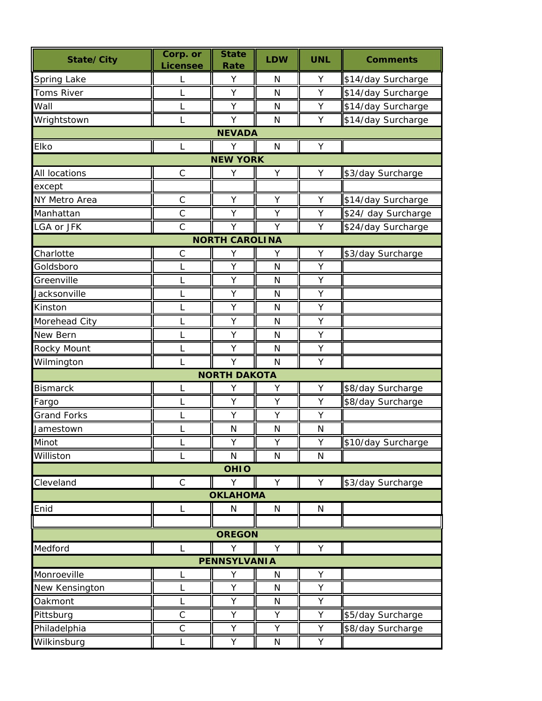| State/City          | Corp. or<br><b>Licensee</b> | <b>State</b><br>Rate  | <b>LDW</b>   | <b>UNL</b> | <b>Comments</b>     |  |  |  |
|---------------------|-----------------------------|-----------------------|--------------|------------|---------------------|--|--|--|
| Spring Lake         | L                           | Υ                     | N            | Υ          | \$14/day Surcharge  |  |  |  |
| Toms River          | L                           | Y                     | N            | Υ          | \$14/day Surcharge  |  |  |  |
| Wall                | L                           | Υ                     | N            | Υ          | \$14/day Surcharge  |  |  |  |
| Wrightstown         | L                           | Y                     | N            | Υ          | \$14/day Surcharge  |  |  |  |
| <b>NEVADA</b>       |                             |                       |              |            |                     |  |  |  |
| Elko                | L                           | Y                     | $\mathsf{N}$ | Υ          |                     |  |  |  |
| <b>NEW YORK</b>     |                             |                       |              |            |                     |  |  |  |
| All locations       | $\mathsf C$                 | Υ                     | Υ            | Υ          | \$3/day Surcharge   |  |  |  |
| except              |                             |                       |              |            |                     |  |  |  |
| NY Metro Area       | $\mathsf{C}$                | Υ                     | Υ            | Υ          | \$14/day Surcharge  |  |  |  |
| Manhattan           | $\mathsf C$                 | Υ                     | Υ            | Υ          | \$24/ day Surcharge |  |  |  |
| LGA or JFK          | $\mathsf{C}$                | Υ                     | Y            | Υ          | \$24/day Surcharge  |  |  |  |
|                     |                             | <b>NORTH CAROLINA</b> |              |            |                     |  |  |  |
| Charlotte           | $\mathsf C$                 | Υ                     | Υ            | Υ          | \$3/day Surcharge   |  |  |  |
| Goldsboro           | L                           | Υ                     | $\mathsf{N}$ | Υ          |                     |  |  |  |
| Greenville          | L                           | Υ                     | N            | Υ          |                     |  |  |  |
| Jacksonville        | L                           | Υ                     | $\mathsf{N}$ | Υ          |                     |  |  |  |
| Kinston             | L                           | Υ                     | $\mathsf{N}$ | Υ          |                     |  |  |  |
| Morehead City       | L                           | Υ                     | $\mathsf{N}$ | Υ          |                     |  |  |  |
| New Bern            | L                           | Υ                     | N            | Υ          |                     |  |  |  |
| Rocky Mount         | L                           | Υ                     | $\mathsf{N}$ | Υ          |                     |  |  |  |
| Wilmington          | L                           | Y                     | $\mathsf{N}$ | Υ          |                     |  |  |  |
|                     |                             | <b>NORTH DAKOTA</b>   |              |            |                     |  |  |  |
| <b>Bismarck</b>     | L                           | Υ                     | Υ            | Υ          | \$8/day Surcharge   |  |  |  |
| Fargo               | L                           | Υ                     | Y            | Υ          | \$8/day Surcharge   |  |  |  |
| <b>Grand Forks</b>  | L                           | Υ                     | Υ            | Υ          |                     |  |  |  |
| Jamestown           | L                           | N                     | N            | N          |                     |  |  |  |
| Minot               | L                           | Y                     | Υ            | Y          | \$10/day Surcharge  |  |  |  |
| Williston           | L                           | N                     | N            | N          |                     |  |  |  |
|                     |                             | <b>OHIO</b>           |              |            |                     |  |  |  |
| Cleveland           | $\mathsf C$                 | Υ                     | Y            | Y          | \$3/day Surcharge   |  |  |  |
|                     |                             | <b>OKLAHOMA</b>       |              |            |                     |  |  |  |
| Enid                | L                           | N                     | N            | N          |                     |  |  |  |
|                     |                             |                       |              |            |                     |  |  |  |
| <b>OREGON</b>       |                             |                       |              |            |                     |  |  |  |
| Medford             | L                           | Y                     | Y            | Υ          |                     |  |  |  |
| <b>PENNSYLVANIA</b> |                             |                       |              |            |                     |  |  |  |
| Monroeville         | L                           | Υ                     | N            | Υ          |                     |  |  |  |
| New Kensington      | L                           | Υ                     | N            | Υ          |                     |  |  |  |
| Oakmont             |                             | Υ                     | N            | Υ          |                     |  |  |  |
| Pittsburg           | $\mathsf C$                 | Υ                     | Υ            | Υ          | \$5/day Surcharge   |  |  |  |
| Philadelphia        | $\mathsf C$                 | Υ                     | Υ            | Υ          | \$8/day Surcharge   |  |  |  |
| Wilkinsburg         | L                           | Υ                     | ${\sf N}$    | Υ          |                     |  |  |  |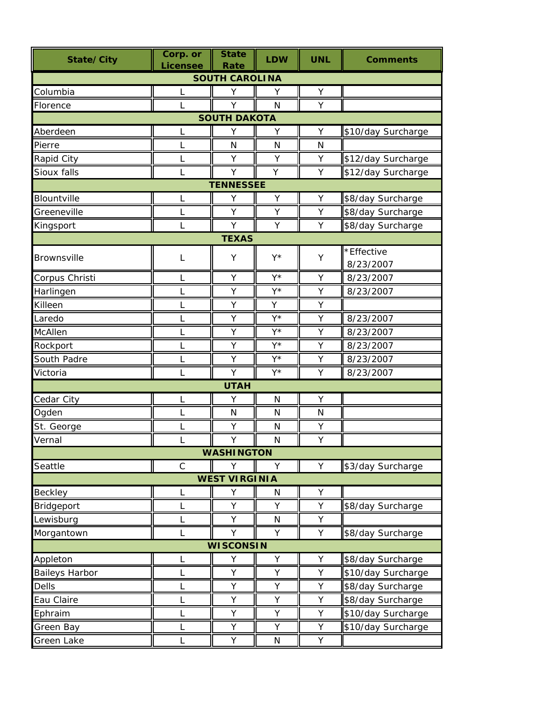| State/City            | Corp. or<br><b>Licensee</b> | <b>State</b><br>Rate | <b>LDW</b> | <b>UNL</b>   | <b>Comments</b>    |  |  |
|-----------------------|-----------------------------|----------------------|------------|--------------|--------------------|--|--|
| <b>SOUTH CAROLINA</b> |                             |                      |            |              |                    |  |  |
| Columbia              | L                           | Υ                    | Υ          | Υ            |                    |  |  |
| Florence              | L                           | Y                    | N          | Y            |                    |  |  |
| <b>SOUTH DAKOTA</b>   |                             |                      |            |              |                    |  |  |
| Aberdeen              | L                           | Υ                    | Υ          | Υ            | \$10/day Surcharge |  |  |
| Pierre                | $\mathsf{L}$                | N                    | N          | N            |                    |  |  |
| Rapid City            | L                           | Y                    | Y          | Υ            | \$12/day Surcharge |  |  |
| Sioux falls           | L                           | Y                    | Y          | Υ            | \$12/day Surcharge |  |  |
|                       |                             | <b>TENNESSEE</b>     |            |              |                    |  |  |
| Blountville           | L                           | Υ                    | Υ          | Υ            | \$8/day Surcharge  |  |  |
| Greeneville           | L                           | Y                    | Y          | Y            | \$8/day Surcharge  |  |  |
| Kingsport             | L                           | Y                    | Y          | Υ            | \$8/day Surcharge  |  |  |
|                       |                             | <b>TEXAS</b>         |            |              |                    |  |  |
| Brownsville           | L                           | Υ                    | Y*         | Υ            | *Effective         |  |  |
|                       |                             |                      |            |              | 8/23/2007          |  |  |
| Corpus Christi        | L                           | Υ                    | Y*         | Υ            | 8/23/2007          |  |  |
| Harlingen             | L                           | Υ                    | Y*         | Υ            | 8/23/2007          |  |  |
| Killeen               | L                           | Y                    | Y          | Υ            |                    |  |  |
| Laredo                | $\mathsf L$                 | Υ                    | Y*         | Υ            | 8/23/2007          |  |  |
| McAllen               | L                           | Υ                    | Y*         | Υ            | 8/23/2007          |  |  |
| Rockport              | L                           | Υ                    | Y*         | Υ            | 8/23/2007          |  |  |
| South Padre           | L                           | Υ                    | Y*         | Υ            | 8/23/2007          |  |  |
| Victoria              | L                           | Y                    | Y*         | Υ            | 8/23/2007          |  |  |
|                       |                             | <b>UTAH</b>          |            |              |                    |  |  |
| Cedar City            | L                           | Υ                    | N          | Υ            |                    |  |  |
| Ogden                 | L                           | N                    | N          | $\mathsf{N}$ |                    |  |  |
| St. George            |                             | Υ                    | N          | Υ            |                    |  |  |
| Vernal                | L                           | Y                    | N          | Y            |                    |  |  |
|                       |                             | <b>WASHINGTON</b>    |            |              |                    |  |  |
| Seattle               | $\mathsf C$                 | Y                    | Y          | Y            | \$3/day Surcharge  |  |  |
|                       |                             | <b>WEST VIRGINIA</b> |            |              |                    |  |  |
| Beckley               | L                           | Υ                    | N          | Υ            |                    |  |  |
| Bridgeport            | L                           | Υ                    | Υ          | Υ            | \$8/day Surcharge  |  |  |
| Lewisburg             | L                           | Υ                    | N          | Υ            |                    |  |  |
| Morgantown            | L                           | Y                    | Y          | Y            | \$8/day Surcharge  |  |  |
| <b>WISCONSIN</b>      |                             |                      |            |              |                    |  |  |
| Appleton              | L                           | Υ                    | Υ          | Υ            | \$8/day Surcharge  |  |  |
| <b>Baileys Harbor</b> | L                           | Υ                    | Υ          | Υ            | \$10/day Surcharge |  |  |
| <b>Dells</b>          | L                           | Υ                    | Υ          | Υ            | \$8/day Surcharge  |  |  |
| Eau Claire            | L                           | Υ                    | Υ          | Υ            | \$8/day Surcharge  |  |  |
| Ephraim               | L                           | Υ                    | Υ          | Υ            | \$10/day Surcharge |  |  |
| Green Bay             | L                           | Υ                    | Y          | Υ            | \$10/day Surcharge |  |  |
| Green Lake            | L                           | Υ                    | N          | Υ            |                    |  |  |